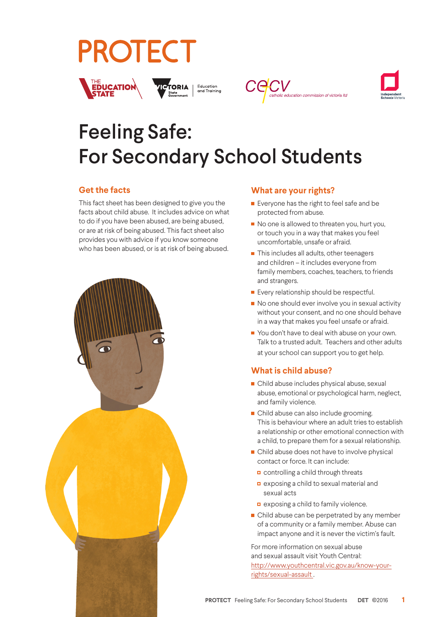# **PROTECT**









# Feeling Safe: For Secondary School Students

# **Get the facts**

This fact sheet has been designed to give you the facts about child abuse. It includes advice on what to do if you have been abused, are being abused, or are at risk of being abused. This fact sheet also provides you with advice if you know someone who has been abused, or is at risk of being abused.



## **What are your rights?**

- **Exeryone has the right to feel safe and be** protected from abuse.
- No one is allowed to threaten you, hurt you, or touch you in a way that makes you feel uncomfortable, unsafe or afraid.
- This includes all adults, other teenagers and children – it includes everyone from family members, coaches, teachers, to friends and strangers.
- **Every relationship should be respectful.**
- $\blacksquare$  No one should ever involve you in sexual activity without your consent, and no one should behave in a way that makes you feel unsafe or afraid.
- You don't have to deal with abuse on your own. Talk to a trusted adult. Teachers and other adults at your school can support you to get help.

# **What is child abuse?**

- Child abuse includes physical abuse, sexual abuse, emotional or psychological harm, neglect, and family violence.
- Child abuse can also include grooming. This is behaviour where an adult tries to establish a relationship or other emotional connection with a child, to prepare them for a sexual relationship.
- **Child abuse does not have to involve physical** contact or force. It can include:
	- controlling a child through threats
	- exposing a child to sexual material and sexual acts
	- exposing a child to family violence.
- Child abuse can be perpetrated by any member of a community or a family member. Abuse can impact anyone and it is never the victim's fault.

For more information on sexual abuse and sexual assault visit Youth Central: http://www.youthcentral.vic.gov.au/know-yourrights/sexual-assault .